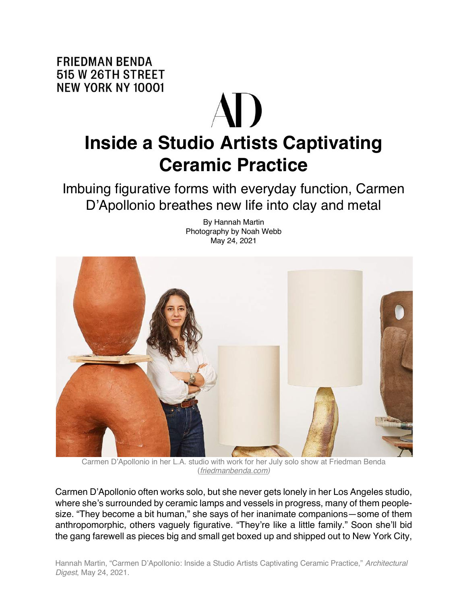**FRIEDMAN BENDA** 515 W 26TH STREET **NEW YORK NY 10001** 

## **Inside a Studio Artists Captivating Ceramic Practice**

Imbuing figurative forms with everyday function, Carmen D'Apollonio breathes new life into clay and metal



By Hannah Martin Photography by Noah Webb May 24, 2021

Carmen D'Apollonio in her L.A. studio with work for her July solo show at Friedman Benda (*friedmanbenda.com)*

Carmen D'Apollonio often works solo, but she never gets lonely in her Los Angeles studio, where she's surrounded by ceramic lamps and vessels in progress, many of them peoplesize. "They become a bit human," she says of her inanimate companions—some of them anthropomorphic, others vaguely figurative. "They're like a little family." Soon she'll bid the gang farewell as pieces big and small get boxed up and shipped out to New York City,

Hannah Martin, "Carmen D'Apollonio: Inside a Studio Artists Captivating Ceramic Practice," *Architectural Digest*, May 24, 2021.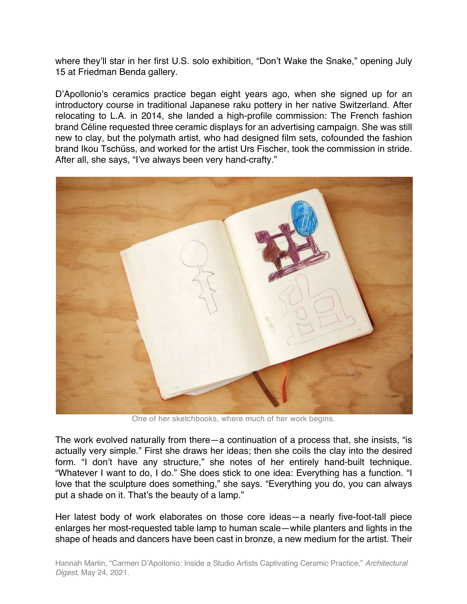where they'll star in her first U.S. solo exhibition, "Don't Wake the Snake," opening July 15 at Friedman Benda gallery.

D'Apollonio's ceramics practice began eight years ago, when she signed up for an introductory course in traditional Japanese raku pottery in her native Switzerland. After relocating to L.A. in 2014, she landed a high-profile commission: The French fashion brand Céline requested three ceramic displays for an advertising campaign. She was still new to clay, but the polymath artist, who had designed film sets, cofounded the fashion brand Ikou Tschüss, and worked for the artist Urs Fischer, took the commission in stride. After all, she says, "I've always been very hand-crafty."



One of her sketchbooks, where much of her work begins.

The work evolved naturally from there—a continuation of a process that, she insists, "is actually very simple." First she draws her ideas; then she coils the clay into the desired form. "I don't have any structure," she notes of her entirely hand-built technique. "Whatever I want to do, I do." She does stick to one idea: Everything has a function. "I love that the sculpture does something," she says. "Everything you do, you can always put a shade on it. That's the beauty of a lamp."

Her latest body of work elaborates on those core ideas—a nearly five-foot-tall piece enlarges her most-requested table lamp to human scale—while planters and lights in the shape of heads and dancers have been cast in bronze, a new medium for the artist. Their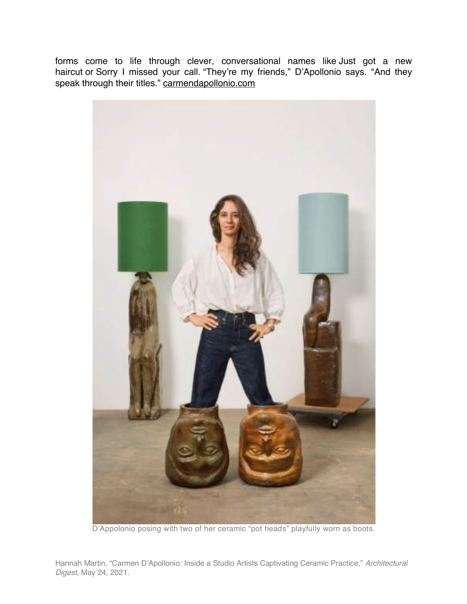forms come to life through clever, conversational names like Just got a new haircut or Sorry I missed your call. "They're my friends," D'Apollonio says. "And they speak through their titles." carmendapollonio.com



D'Appolonio posing with two of her ceramic "pot heads" playfully worn as boots.

Hannah Martin, "Carmen D'Apollonio: Inside a Studio Artists Captivating Ceramic Practice," *Architectural Digest*, May 24, 2021.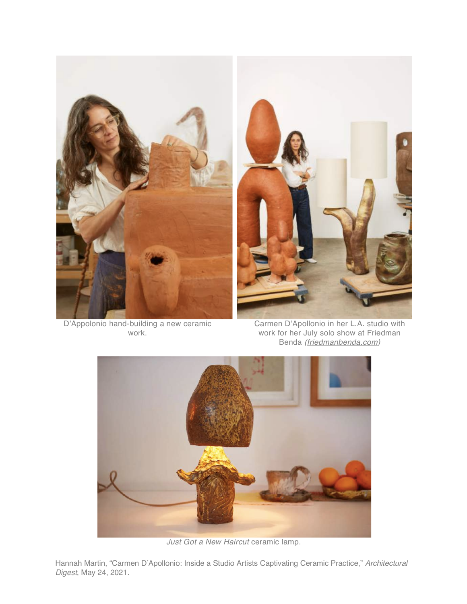

 D'Appolonio hand-building a new ceramic work.

Carmen D'Apollonio in her L.A. studio with work for her July solo show at Friedman Benda *(friedmanbenda.com)*



*Just Got a New Haircut* ceramic lamp.

Hannah Martin, "Carmen D'Apollonio: Inside a Studio Artists Captivating Ceramic Practice," *Architectural Digest*, May 24, 2021.